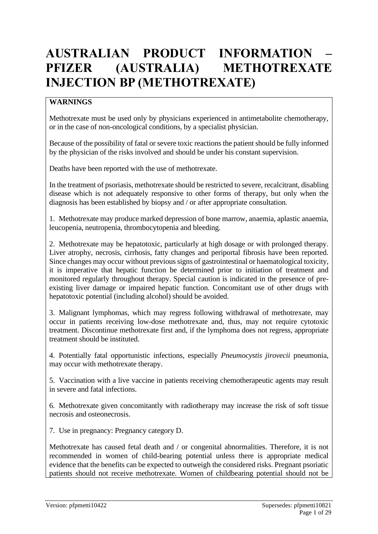# **AUSTRALIAN PRODUCT INFORMATION – PFIZER (AUSTRALIA) METHOTREXATE INJECTION BP (METHOTREXATE)**

## **WARNINGS**

Methotrexate must be used only by physicians experienced in antimetabolite chemotherapy, or in the case of non-oncological conditions, by a specialist physician.

Because of the possibility of fatal or severe toxic reactions the patient should be fully informed by the physician of the risks involved and should be under his constant supervision.

Deaths have been reported with the use of methotrexate.

In the treatment of psoriasis, methotrexate should be restricted to severe, recalcitrant, disabling disease which is not adequately responsive to other forms of therapy, but only when the diagnosis has been established by biopsy and / or after appropriate consultation.

1. Methotrexate may produce marked depression of bone marrow, anaemia, aplastic anaemia, leucopenia, neutropenia, thrombocytopenia and bleeding.

2. Methotrexate may be hepatotoxic, particularly at high dosage or with prolonged therapy. Liver atrophy, necrosis, cirrhosis, fatty changes and periportal fibrosis have been reported. Since changes may occur without previous signs of gastrointestinal or haematological toxicity, it is imperative that hepatic function be determined prior to initiation of treatment and monitored regularly throughout therapy. Special caution is indicated in the presence of preexisting liver damage or impaired hepatic function. Concomitant use of other drugs with hepatotoxic potential (including alcohol) should be avoided.

3. Malignant lymphomas, which may regress following withdrawal of methotrexate, may occur in patients receiving low-dose methotrexate and, thus, may not require cytotoxic treatment. Discontinue methotrexate first and, if the lymphoma does not regress, appropriate treatment should be instituted.

4. Potentially fatal opportunistic infections, especially *Pneumocystis jirovecii* pneumonia, may occur with methotrexate therapy.

5. Vaccination with a live vaccine in patients receiving chemotherapeutic agents may result in severe and fatal infections.

6. Methotrexate given concomitantly with radiotherapy may increase the risk of soft tissue necrosis and osteonecrosis.

7. Use in pregnancy: Pregnancy category D.

Methotrexate has caused fetal death and / or congenital abnormalities. Therefore, it is not recommended in women of child-bearing potential unless there is appropriate medical evidence that the benefits can be expected to outweigh the considered risks. Pregnant psoriatic patients should not receive methotrexate. Women of childbearing potential should not be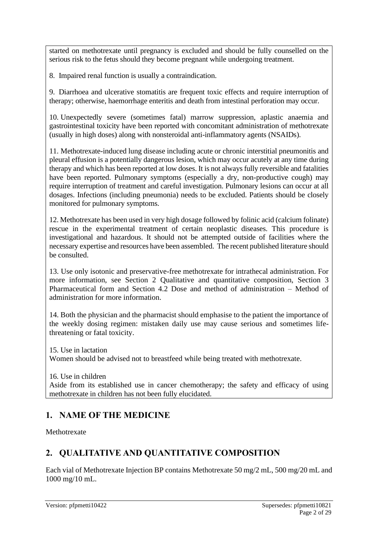started on methotrexate until pregnancy is excluded and should be fully counselled on the serious risk to the fetus should they become pregnant while undergoing treatment.

8. Impaired renal function is usually a contraindication.

9. Diarrhoea and ulcerative stomatitis are frequent toxic effects and require interruption of therapy; otherwise, haemorrhage enteritis and death from intestinal perforation may occur.

10. Unexpectedly severe (sometimes fatal) marrow suppression, aplastic anaemia and gastrointestinal toxicity have been reported with concomitant administration of methotrexate (usually in high doses) along with nonsteroidal anti-inflammatory agents (NSAIDs).

11. Methotrexate-induced lung disease including acute or chronic interstitial pneumonitis and pleural effusion is a potentially dangerous lesion, which may occur acutely at any time during therapy and which has been reported at low doses. It is not always fully reversible and fatalities have been reported. Pulmonary symptoms (especially a dry, non-productive cough) may require interruption of treatment and careful investigation. Pulmonary lesions can occur at all dosages. Infections (including pneumonia) needs to be excluded. Patients should be closely monitored for pulmonary symptoms.

12. Methotrexate has been used in very high dosage followed by folinic acid (calcium folinate) rescue in the experimental treatment of certain neoplastic diseases. This procedure is investigational and hazardous. It should not be attempted outside of facilities where the necessary expertise and resources have been assembled. The recent published literature should be consulted.

13. Use only isotonic and preservative-free methotrexate for intrathecal administration. For more information, see Section 2 Qualitative and quantitative composition, Section 3 Pharmaceutical form and Section 4.2 Dose and method of administration – Method of administration for more information.

14. Both the physician and the pharmacist should emphasise to the patient the importance of the weekly dosing regimen: mistaken daily use may cause serious and sometimes lifethreatening or fatal toxicity.

15. Use in lactation Women should be advised not to breastfeed while being treated with methotrexate.

16. Use in children Aside from its established use in cancer chemotherapy; the safety and efficacy of using methotrexate in children has not been fully elucidated.

## **1. NAME OF THE MEDICINE**

Methotrexate

## **2. QUALITATIVE AND QUANTITATIVE COMPOSITION**

Each vial of Methotrexate Injection BP contains Methotrexate 50 mg/2 mL, 500 mg/20 mL and 1000 mg/10 mL.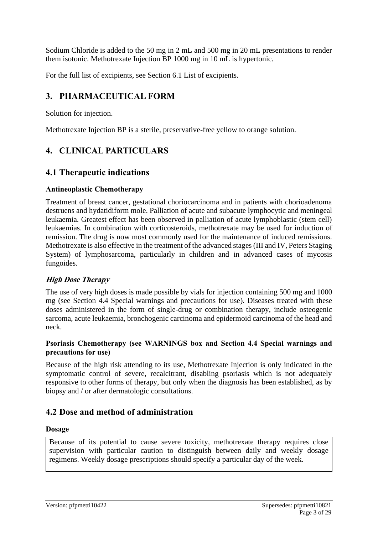Sodium Chloride is added to the 50 mg in 2 mL and 500 mg in 20 mL presentations to render them isotonic. Methotrexate Injection BP 1000 mg in 10 mL is hypertonic.

For the full list of excipients, see Section 6.1 List of excipients.

## **3. PHARMACEUTICAL FORM**

Solution for injection.

Methotrexate Injection BP is a sterile, preservative-free yellow to orange solution.

## **4. CLINICAL PARTICULARS**

## **4.1 Therapeutic indications**

### **Antineoplastic Chemotherapy**

Treatment of breast cancer, gestational choriocarcinoma and in patients with chorioadenoma destruens and hydatidiform mole. Palliation of acute and subacute lymphocytic and meningeal leukaemia. Greatest effect has been observed in palliation of acute lymphoblastic (stem cell) leukaemias. In combination with corticosteroids, methotrexate may be used for induction of remission. The drug is now most commonly used for the maintenance of induced remissions. Methotrexate is also effective in the treatment of the advanced stages (III and IV, Peters Staging System) of lymphosarcoma, particularly in children and in advanced cases of mycosis fungoides.

## **High Dose Therapy**

The use of very high doses is made possible by vials for injection containing 500 mg and 1000 mg (see Section 4.4 Special warnings and precautions for use). Diseases treated with these doses administered in the form of single-drug or combination therapy, include osteogenic sarcoma, acute leukaemia, bronchogenic carcinoma and epidermoid carcinoma of the head and neck.

## **Psoriasis Chemotherapy (see WARNINGS box and Section 4.4 Special warnings and precautions for use)**

Because of the high risk attending to its use, Methotrexate Injection is only indicated in the symptomatic control of severe, recalcitrant, disabling psoriasis which is not adequately responsive to other forms of therapy, but only when the diagnosis has been established, as by biopsy and / or after dermatologic consultations.

## **4.2 Dose and method of administration**

## **Dosage**

Because of its potential to cause severe toxicity, methotrexate therapy requires close supervision with particular caution to distinguish between daily and weekly dosage regimens. Weekly dosage prescriptions should specify a particular day of the week.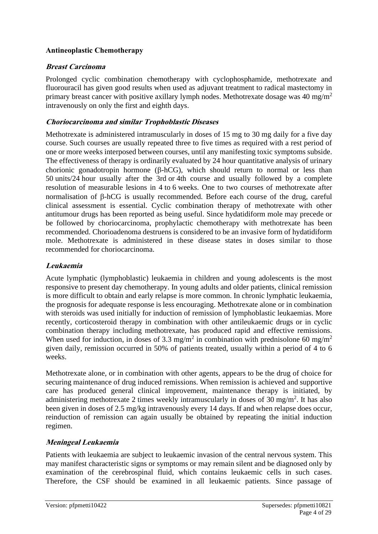## **Antineoplastic Chemotherapy**

## **Breast Carcinoma**

Prolonged cyclic combination chemotherapy with cyclophosphamide, methotrexate and fluorouracil has given good results when used as adjuvant treatment to radical mastectomy in primary breast cancer with positive axillary lymph nodes. Methotrexate dosage was 40 mg/m<sup>2</sup> intravenously on only the first and eighth days.

## **Choriocarcinoma and similar Trophoblastic Diseases**

Methotrexate is administered intramuscularly in doses of 15 mg to 30 mg daily for a five day course. Such courses are usually repeated three to five times as required with a rest period of one or more weeks interposed between courses, until any manifesting toxic symptoms subside. The effectiveness of therapy is ordinarily evaluated by 24 hour quantitative analysis of urinary chorionic gonadotropin hormone ( $\beta$ -hCG), which should return to normal or less than 50 units/24 hour usually after the 3rd or 4th course and usually followed by a complete resolution of measurable lesions in 4 to 6 weeks. One to two courses of methotrexate after normalisation of  $\beta$ -hCG is usually recommended. Before each course of the drug, careful clinical assessment is essential. Cyclic combination therapy of methotrexate with other antitumour drugs has been reported as being useful. Since hydatidiform mole may precede or be followed by choriocarcinoma, prophylactic chemotherapy with methotrexate has been recommended. Chorioadenoma destruens is considered to be an invasive form of hydatidiform mole. Methotrexate is administered in these disease states in doses similar to those recommended for choriocarcinoma.

## **Leukaemia**

Acute lymphatic (lymphoblastic) leukaemia in children and young adolescents is the most responsive to present day chemotherapy. In young adults and older patients, clinical remission is more difficult to obtain and early relapse is more common. In chronic lymphatic leukaemia, the prognosis for adequate response is less encouraging. Methotrexate alone or in combination with steroids was used initially for induction of remission of lymphoblastic leukaemias. More recently, corticosteroid therapy in combination with other antileukaemic drugs or in cyclic combination therapy including methotrexate, has produced rapid and effective remissions. When used for induction, in doses of 3.3 mg/m<sup>2</sup> in combination with prednisolone 60 mg/m<sup>2</sup> given daily, remission occurred in 50% of patients treated, usually within a period of 4 to 6 weeks.

Methotrexate alone, or in combination with other agents, appears to be the drug of choice for securing maintenance of drug induced remissions. When remission is achieved and supportive care has produced general clinical improvement, maintenance therapy is initiated, by administering methotrexate 2 times weekly intramuscularly in doses of 30 mg/m<sup>2</sup>. It has also been given in doses of 2.5 mg/kg intravenously every 14 days. If and when relapse does occur, reinduction of remission can again usually be obtained by repeating the initial induction regimen.

## **Meningeal Leukaemia**

Patients with leukaemia are subject to leukaemic invasion of the central nervous system. This may manifest characteristic signs or symptoms or may remain silent and be diagnosed only by examination of the cerebrospinal fluid, which contains leukaemic cells in such cases. Therefore, the CSF should be examined in all leukaemic patients. Since passage of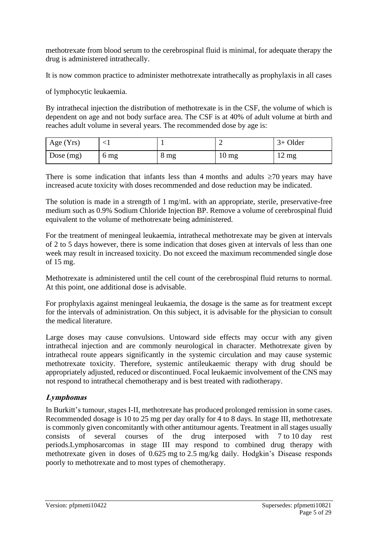methotrexate from blood serum to the cerebrospinal fluid is minimal, for adequate therapy the drug is administered intrathecally.

It is now common practice to administer methotrexate intrathecally as prophylaxis in all cases

of lymphocytic leukaemia.

By intrathecal injection the distribution of methotrexate is in the CSF, the volume of which is dependent on age and not body surface area. The CSF is at 40% of adult volume at birth and reaches adult volume in several years. The recommended dose by age is:

| Age $(Yrs)$ |      |                 | ∽                | $3+$ Older                     |
|-------------|------|-----------------|------------------|--------------------------------|
| Dose $(mg)$ | 6 mg | 8 <sub>mg</sub> | 10 <sub>mg</sub> | $1^{\circ}$<br>$12 \text{ mg}$ |

There is some indication that infants less than 4 months and adults  $\geq 70$  years may have increased acute toxicity with doses recommended and dose reduction may be indicated.

The solution is made in a strength of 1 mg/mL with an appropriate, sterile, preservative-free medium such as 0.9% Sodium Chloride Injection BP. Remove a volume of cerebrospinal fluid equivalent to the volume of methotrexate being administered.

For the treatment of meningeal leukaemia, intrathecal methotrexate may be given at intervals of 2 to 5 days however, there is some indication that doses given at intervals of less than one week may result in increased toxicity. Do not exceed the maximum recommended single dose of 15 mg.

Methotrexate is administered until the cell count of the cerebrospinal fluid returns to normal. At this point, one additional dose is advisable.

For prophylaxis against meningeal leukaemia, the dosage is the same as for treatment except for the intervals of administration. On this subject, it is advisable for the physician to consult the medical literature.

Large doses may cause convulsions. Untoward side effects may occur with any given intrathecal injection and are commonly neurological in character. Methotrexate given by intrathecal route appears significantly in the systemic circulation and may cause systemic methotrexate toxicity. Therefore, systemic antileukaemic therapy with drug should be appropriately adjusted, reduced or discontinued. Focal leukaemic involvement of the CNS may not respond to intrathecal chemotherapy and is best treated with radiotherapy.

## **Lymphomas**

In Burkitt's tumour, stages I-II, methotrexate has produced prolonged remission in some cases. Recommended dosage is 10 to 25 mg per day orally for 4 to 8 days. In stage III, methotrexate is commonly given concomitantly with other antitumour agents. Treatment in all stages usually consists of several courses of the drug interposed with 7 to 10 day rest periods.Lymphosarcomas in stage III may respond to combined drug therapy with methotrexate given in doses of 0.625 mg to 2.5 mg/kg daily. Hodgkin's Disease responds poorly to methotrexate and to most types of chemotherapy.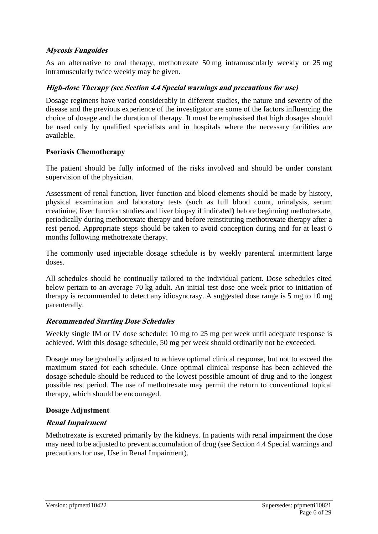## **Mycosis Fungoides**

As an alternative to oral therapy, methotrexate 50 mg intramuscularly weekly or 25 mg intramuscularly twice weekly may be given.

### **High-dose Therapy (see Section 4.4 Special warnings and precautions for use)**

Dosage regimens have varied considerably in different studies, the nature and severity of the disease and the previous experience of the investigator are some of the factors influencing the choice of dosage and the duration of therapy. It must be emphasised that high dosages should be used only by qualified specialists and in hospitals where the necessary facilities are available.

#### **Psoriasis Chemotherapy**

The patient should be fully informed of the risks involved and should be under constant supervision of the physician.

Assessment of renal function, liver function and blood elements should be made by history, physical examination and laboratory tests (such as full blood count, urinalysis, serum creatinine, liver function studies and liver biopsy if indicated) before beginning methotrexate, periodically during methotrexate therapy and before reinstituting methotrexate therapy after a rest period. Appropriate steps should be taken to avoid conception during and for at least 6 months following methotrexate therapy.

The commonly used injectable dosage schedule is by weekly parenteral intermittent large doses.

All schedules should be continually tailored to the individual patient. Dose schedules cited below pertain to an average 70 kg adult. An initial test dose one week prior to initiation of therapy is recommended to detect any idiosyncrasy. A suggested dose range is 5 mg to 10 mg parenterally.

## **Recommended Starting Dose Schedules**

Weekly single IM or IV dose schedule: 10 mg to 25 mg per week until adequate response is achieved. With this dosage schedule, 50 mg per week should ordinarily not be exceeded.

Dosage may be gradually adjusted to achieve optimal clinical response, but not to exceed the maximum stated for each schedule. Once optimal clinical response has been achieved the dosage schedule should be reduced to the lowest possible amount of drug and to the longest possible rest period. The use of methotrexate may permit the return to conventional topical therapy, which should be encouraged.

#### **Dosage Adjustment**

## **Renal Impairment**

Methotrexate is excreted primarily by the kidneys. In patients with renal impairment the dose may need to be adjusted to prevent accumulation of drug (see Section 4.4 Special warnings and precautions for use, Use in Renal Impairment).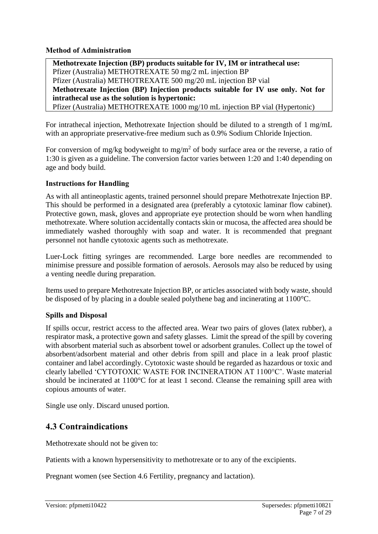**Method of Administration**

**Methotrexate Injection (BP) products suitable for IV, IM or intrathecal use:**  Pfizer (Australia) METHOTREXATE 50 mg/2 mL injection BP Pfizer (Australia) METHOTREXATE 500 mg/20 mL injection BP vial **Methotrexate Injection (BP) Injection products suitable for IV use only. Not for intrathecal use as the solution is hypertonic:**  Pfizer (Australia) METHOTREXATE 1000 mg/10 mL injection BP vial (Hypertonic)

For intrathecal injection, Methotrexate Injection should be diluted to a strength of 1 mg/mL with an appropriate preservative-free medium such as 0.9% Sodium Chloride Injection.

For conversion of mg/kg bodyweight to mg/m<sup>2</sup> of body surface area or the reverse, a ratio of 1:30 is given as a guideline. The conversion factor varies between 1:20 and 1:40 depending on age and body build.

## **Instructions for Handling**

As with all antineoplastic agents, trained personnel should prepare Methotrexate Injection BP. This should be performed in a designated area (preferably a cytotoxic laminar flow cabinet). Protective gown, mask, gloves and appropriate eye protection should be worn when handling methotrexate. Where solution accidentally contacts skin or mucosa, the affected area should be immediately washed thoroughly with soap and water. It is recommended that pregnant personnel not handle cytotoxic agents such as methotrexate.

Luer-Lock fitting syringes are recommended. Large bore needles are recommended to minimise pressure and possible formation of aerosols. Aerosols may also be reduced by using a venting needle during preparation.

Items used to prepare Methotrexate Injection BP, or articles associated with body waste, should be disposed of by placing in a double sealed polythene bag and incinerating at 1100°C.

## **Spills and Disposal**

If spills occur, restrict access to the affected area. Wear two pairs of gloves (latex rubber), a respirator mask, a protective gown and safety glasses. Limit the spread of the spill by covering with absorbent material such as absorbent towel or adsorbent granules. Collect up the towel of absorbent/adsorbent material and other debris from spill and place in a leak proof plastic container and label accordingly. Cytotoxic waste should be regarded as hazardous or toxic and clearly labelled 'CYTOTOXIC WASTE FOR INCINERATION AT 1100°C'. Waste material should be incinerated at 1100°C for at least 1 second. Cleanse the remaining spill area with copious amounts of water.

Single use only. Discard unused portion.

## **4.3 Contraindications**

Methotrexate should not be given to:

Patients with a known hypersensitivity to methotrexate or to any of the excipients.

Pregnant women (see Section 4.6 Fertility, pregnancy and lactation).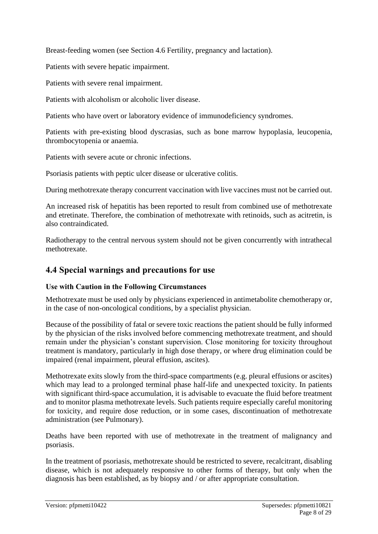Breast-feeding women (see Section 4.6 Fertility, pregnancy and lactation).

Patients with severe hepatic impairment.

Patients with severe renal impairment.

Patients with alcoholism or alcoholic liver disease.

Patients who have overt or laboratory evidence of immunodeficiency syndromes.

Patients with pre-existing blood dyscrasias, such as bone marrow hypoplasia, leucopenia, thrombocytopenia or anaemia.

Patients with severe acute or chronic infections.

Psoriasis patients with peptic ulcer disease or ulcerative colitis.

During methotrexate therapy concurrent vaccination with live vaccines must not be carried out.

An increased risk of hepatitis has been reported to result from combined use of methotrexate and etretinate. Therefore, the combination of methotrexate with retinoids, such as acitretin, is also contraindicated.

Radiotherapy to the central nervous system should not be given concurrently with intrathecal methotrexate.

## **4.4 Special warnings and precautions for use**

## **Use with Caution in the Following Circumstances**

Methotrexate must be used only by physicians experienced in antimetabolite chemotherapy or, in the case of non-oncological conditions, by a specialist physician.

Because of the possibility of fatal or severe toxic reactions the patient should be fully informed by the physician of the risks involved before commencing methotrexate treatment, and should remain under the physician's constant supervision. Close monitoring for toxicity throughout treatment is mandatory, particularly in high dose therapy, or where drug elimination could be impaired (renal impairment, pleural effusion, ascites).

Methotrexate exits slowly from the third-space compartments (e.g. pleural effusions or ascites) which may lead to a prolonged terminal phase half-life and unexpected toxicity. In patients with significant third-space accumulation, it is advisable to evacuate the fluid before treatment and to monitor plasma methotrexate levels. Such patients require especially careful monitoring for toxicity, and require dose reduction, or in some cases, discontinuation of methotrexate administration (see Pulmonary).

Deaths have been reported with use of methotrexate in the treatment of malignancy and psoriasis.

In the treatment of psoriasis, methotrexate should be restricted to severe, recalcitrant, disabling disease, which is not adequately responsive to other forms of therapy, but only when the diagnosis has been established, as by biopsy and / or after appropriate consultation.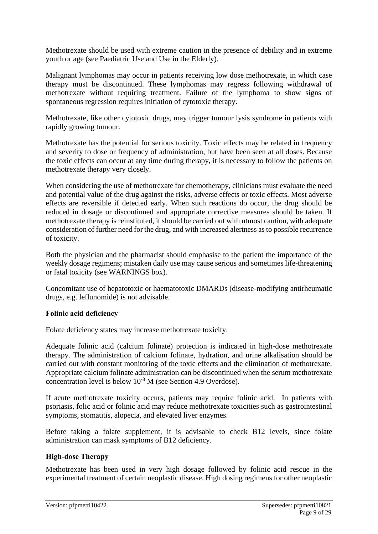Methotrexate should be used with extreme caution in the presence of debility and in extreme youth or age (see Paediatric Use and Use in the Elderly).

Malignant lymphomas may occur in patients receiving low dose methotrexate, in which case therapy must be discontinued. These lymphomas may regress following withdrawal of methotrexate without requiring treatment. Failure of the lymphoma to show signs of spontaneous regression requires initiation of cytotoxic therapy.

Methotrexate, like other cytotoxic drugs, may trigger tumour lysis syndrome in patients with rapidly growing tumour.

Methotrexate has the potential for serious toxicity. Toxic effects may be related in frequency and severity to dose or frequency of administration, but have been seen at all doses. Because the toxic effects can occur at any time during therapy, it is necessary to follow the patients on methotrexate therapy very closely.

When considering the use of methotrexate for chemotherapy, clinicians must evaluate the need and potential value of the drug against the risks, adverse effects or toxic effects. Most adverse effects are reversible if detected early. When such reactions do occur, the drug should be reduced in dosage or discontinued and appropriate corrective measures should be taken. If methotrexate therapy is reinstituted, it should be carried out with utmost caution, with adequate consideration of further need for the drug, and with increased alertness as to possible recurrence of toxicity.

Both the physician and the pharmacist should emphasise to the patient the importance of the weekly dosage regimens; mistaken daily use may cause serious and sometimes life-threatening or fatal toxicity (see WARNINGS box).

Concomitant use of hepatotoxic or haematotoxic DMARDs (disease-modifying antirheumatic drugs, e.g. leflunomide) is not advisable.

#### **Folinic acid deficiency**

Folate deficiency states may increase methotrexate toxicity.

Adequate folinic acid (calcium folinate) protection is indicated in high-dose methotrexate therapy. The administration of calcium folinate, hydration, and urine alkalisation should be carried out with constant monitoring of the toxic effects and the elimination of methotrexate. Appropriate calcium folinate administration can be discontinued when the serum methotrexate concentration level is below 10-8 M (see Section 4.9 Overdose).

If acute methotrexate toxicity occurs, patients may require folinic acid. In patients with psoriasis, folic acid or folinic acid may reduce methotrexate toxicities such as gastrointestinal symptoms, stomatitis, alopecia, and elevated liver enzymes.

Before taking a folate supplement, it is advisable to check B12 levels, since folate administration can mask symptoms of B12 deficiency.

#### **High-dose Therapy**

Methotrexate has been used in very high dosage followed by folinic acid rescue in the experimental treatment of certain neoplastic disease. High dosing regimens for other neoplastic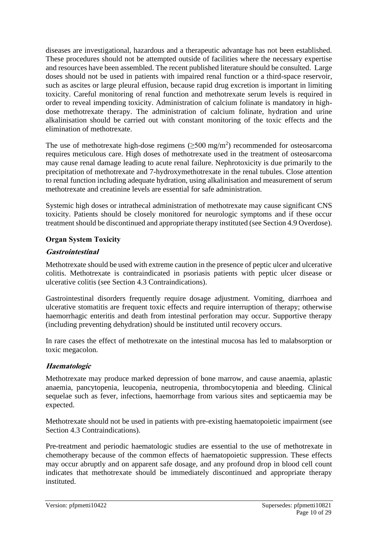diseases are investigational, hazardous and a therapeutic advantage has not been established. These procedures should not be attempted outside of facilities where the necessary expertise and resources have been assembled. The recent published literature should be consulted. Large doses should not be used in patients with impaired renal function or a third-space reservoir, such as ascites or large pleural effusion, because rapid drug excretion is important in limiting toxicity. Careful monitoring of renal function and methotrexate serum levels is required in order to reveal impending toxicity. Administration of calcium folinate is mandatory in highdose methotrexate therapy. The administration of calcium folinate, hydration and urine alkalinisation should be carried out with constant monitoring of the toxic effects and the elimination of methotrexate.

The use of methotrexate high-dose regimens  $(\geq 500 \text{ mg/m}^2)$  recommended for osteosarcoma requires meticulous care. High doses of methotrexate used in the treatment of osteosarcoma may cause renal damage leading to acute renal failure. Nephrotoxicity is due primarily to the precipitation of methotrexate and 7-hydroxymethotrexate in the renal tubules. Close attention to renal function including adequate hydration, using alkalinisation and measurement of serum methotrexate and creatinine levels are essential for safe administration.

Systemic high doses or intrathecal administration of methotrexate may cause significant CNS toxicity. Patients should be closely monitored for neurologic symptoms and if these occur treatment should be discontinued and appropriate therapy instituted (see Section 4.9 Overdose).

### **Organ System Toxicity**

### **Gastrointestinal**

Methotrexate should be used with extreme caution in the presence of peptic ulcer and ulcerative colitis. Methotrexate is contraindicated in psoriasis patients with peptic ulcer disease or ulcerative colitis (see Section 4.3 Contraindications).

Gastrointestinal disorders frequently require dosage adjustment. Vomiting, diarrhoea and ulcerative stomatitis are frequent toxic effects and require interruption of therapy; otherwise haemorrhagic enteritis and death from intestinal perforation may occur. Supportive therapy (including preventing dehydration) should be instituted until recovery occurs.

In rare cases the effect of methotrexate on the intestinal mucosa has led to malabsorption or toxic megacolon.

## **Haematologic**

Methotrexate may produce marked depression of bone marrow, and cause anaemia, aplastic anaemia, pancytopenia, leucopenia, neutropenia, thrombocytopenia and bleeding. Clinical sequelae such as fever, infections, haemorrhage from various sites and septicaemia may be expected.

Methotrexate should not be used in patients with pre-existing haematopoietic impairment (see Section 4.3 Contraindications).

Pre-treatment and periodic haematologic studies are essential to the use of methotrexate in chemotherapy because of the common effects of haematopoietic suppression. These effects may occur abruptly and on apparent safe dosage, and any profound drop in blood cell count indicates that methotrexate should be immediately discontinued and appropriate therapy instituted.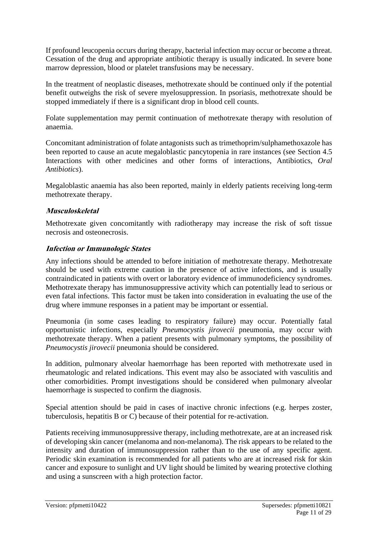If profound leucopenia occurs during therapy, bacterial infection may occur or become a threat. Cessation of the drug and appropriate antibiotic therapy is usually indicated. In severe bone marrow depression, blood or platelet transfusions may be necessary.

In the treatment of neoplastic diseases, methotrexate should be continued only if the potential benefit outweighs the risk of severe myelosuppression. In psoriasis, methotrexate should be stopped immediately if there is a significant drop in blood cell counts.

Folate supplementation may permit continuation of methotrexate therapy with resolution of anaemia.

Concomitant administration of folate antagonists such as trimethoprim/sulphamethoxazole has been reported to cause an acute megaloblastic pancytopenia in rare instances (see Section 4.5 Interactions with other medicines and other forms of interactions, Antibiotics, *Oral Antibiotics*).

Megaloblastic anaemia has also been reported, mainly in elderly patients receiving long-term methotrexate therapy.

### **Musculoskeletal**

Methotrexate given concomitantly with radiotherapy may increase the risk of soft tissue necrosis and osteonecrosis.

#### **Infection or Immunologic States**

Any infections should be attended to before initiation of methotrexate therapy. Methotrexate should be used with extreme caution in the presence of active infections, and is usually contraindicated in patients with overt or laboratory evidence of immunodeficiency syndromes. Methotrexate therapy has immunosuppressive activity which can potentially lead to serious or even fatal infections. This factor must be taken into consideration in evaluating the use of the drug where immune responses in a patient may be important or essential.

Pneumonia (in some cases leading to respiratory failure) may occur. Potentially fatal opportunistic infections, especially *Pneumocystis jirovecii* pneumonia, may occur with methotrexate therapy. When a patient presents with pulmonary symptoms, the possibility of *Pneumocystis jirovecii* pneumonia should be considered.

In addition, pulmonary alveolar haemorrhage has been reported with methotrexate used in rheumatologic and related indications. This event may also be associated with vasculitis and other comorbidities. Prompt investigations should be considered when pulmonary alveolar haemorrhage is suspected to confirm the diagnosis.

Special attention should be paid in cases of inactive chronic infections (e.g. herpes zoster, tuberculosis, hepatitis B or C) because of their potential for re-activation.

Patients receiving immunosuppressive therapy, including methotrexate, are at an increased risk of developing skin cancer (melanoma and non-melanoma). The risk appears to be related to the intensity and duration of immunosuppression rather than to the use of any specific agent. Periodic skin examination is recommended for all patients who are at increased risk for skin cancer and exposure to sunlight and UV light should be limited by wearing protective clothing and using a sunscreen with a high protection factor.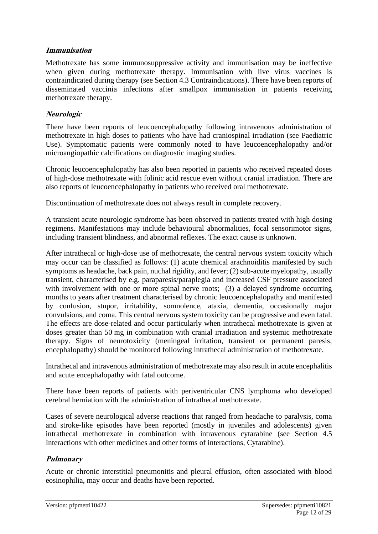### **Immunisation**

Methotrexate has some immunosuppressive activity and immunisation may be ineffective when given during methotrexate therapy. Immunisation with live virus vaccines is contraindicated during therapy (see Section 4.3 Contraindications). There have been reports of disseminated vaccinia infections after smallpox immunisation in patients receiving methotrexate therapy.

#### **Neurologic**

There have been reports of leucoencephalopathy following intravenous administration of methotrexate in high doses to patients who have had craniospinal irradiation (see Paediatric Use). Symptomatic patients were commonly noted to have leucoencephalopathy and/or microangiopathic calcifications on diagnostic imaging studies.

Chronic leucoencephalopathy has also been reported in patients who received repeated doses of high-dose methotrexate with folinic acid rescue even without cranial irradiation. There are also reports of leucoencephalopathy in patients who received oral methotrexate.

Discontinuation of methotrexate does not always result in complete recovery.

A transient acute neurologic syndrome has been observed in patients treated with high dosing regimens. Manifestations may include behavioural abnormalities, focal sensorimotor signs, including transient blindness, and abnormal reflexes. The exact cause is unknown.

After intrathecal or high-dose use of methotrexate, the central nervous system toxicity which may occur can be classified as follows: (1) acute chemical arachnoiditis manifested by such symptoms as headache, back pain, nuchal rigidity, and fever; (2) sub-acute myelopathy, usually transient, characterised by e.g. paraparesis/paraplegia and increased CSF pressure associated with involvement with one or more spinal nerve roots; (3) a delayed syndrome occurring months to years after treatment characterised by chronic leucoencephalopathy and manifested by confusion, stupor, irritability, somnolence, ataxia, dementia, occasionally major convulsions, and coma. This central nervous system toxicity can be progressive and even fatal. The effects are dose-related and occur particularly when intrathecal methotrexate is given at doses greater than 50 mg in combination with cranial irradiation and systemic methotrexate therapy. Signs of neurotoxicity (meningeal irritation, transient or permanent paresis, encephalopathy) should be monitored following intrathecal administration of methotrexate.

Intrathecal and intravenous administration of methotrexate may also result in acute encephalitis and acute encephalopathy with fatal outcome.

There have been reports of patients with periventricular CNS lymphoma who developed cerebral herniation with the administration of intrathecal methotrexate.

Cases of severe neurological adverse reactions that ranged from headache to paralysis, coma and stroke-like episodes have been reported (mostly in juveniles and adolescents) given intrathecal methotrexate in combination with intravenous cytarabine (see Section 4.5 Interactions with other medicines and other forms of interactions, Cytarabine).

#### **Pulmonary**

Acute or chronic interstitial pneumonitis and pleural effusion, often associated with blood eosinophilia, may occur and deaths have been reported.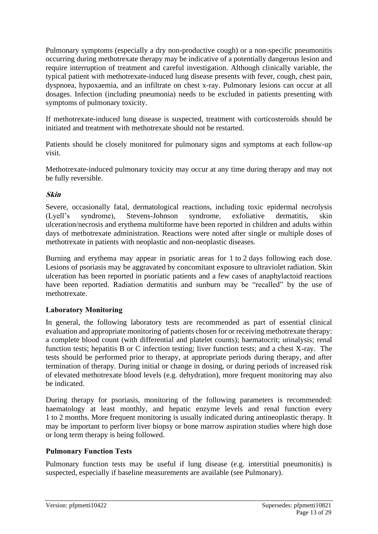Pulmonary symptoms (especially a dry non-productive cough) or a non-specific pneumonitis occurring during methotrexate therapy may be indicative of a potentially dangerous lesion and require interruption of treatment and careful investigation. Although clinically variable, the typical patient with methotrexate-induced lung disease presents with fever, cough, chest pain, dyspnoea, hypoxaemia, and an infiltrate on chest x-ray. Pulmonary lesions can occur at all dosages. Infection (including pneumonia) needs to be excluded in patients presenting with symptoms of pulmonary toxicity.

If methotrexate-induced lung disease is suspected, treatment with corticosteroids should be initiated and treatment with methotrexate should not be restarted.

Patients should be closely monitored for pulmonary signs and symptoms at each follow-up visit.

Methotrexate-induced pulmonary toxicity may occur at any time during therapy and may not be fully reversible.

### **Skin**

Severe, occasionally fatal, dermatological reactions, including toxic epidermal necrolysis (Lyell's syndrome), Stevens-Johnson syndrome, exfoliative dermatitis, skin ulceration/necrosis and erythema multiforme have been reported in children and adults within days of methotrexate administration. Reactions were noted after single or multiple doses of methotrexate in patients with neoplastic and non-neoplastic diseases.

Burning and erythema may appear in psoriatic areas for 1 to 2 days following each dose. Lesions of psoriasis may be aggravated by concomitant exposure to ultraviolet radiation. Skin ulceration has been reported in psoriatic patients and a few cases of anaphylactoid reactions have been reported. Radiation dermatitis and sunburn may be "recalled" by the use of methotrexate.

#### **Laboratory Monitoring**

In general, the following laboratory tests are recommended as part of essential clinical evaluation and appropriate monitoring of patients chosen for or receiving methotrexate therapy: a complete blood count (with differential and platelet counts); haematocrit; urinalysis; renal function tests; hepatitis B or C infection testing; liver function tests; and a chest X-ray. The tests should be performed prior to therapy, at appropriate periods during therapy, and after termination of therapy. During initial or change in dosing, or during periods of increased risk of elevated methotrexate blood levels (e.g. dehydration), more frequent monitoring may also be indicated.

During therapy for psoriasis, monitoring of the following parameters is recommended: haematology at least monthly, and hepatic enzyme levels and renal function every 1 to 2 months. More frequent monitoring is usually indicated during antineoplastic therapy. It may be important to perform liver biopsy or bone marrow aspiration studies where high dose or long term therapy is being followed.

## **Pulmonary Function Tests**

Pulmonary function tests may be useful if lung disease (e.g. interstitial pneumonitis) is suspected, especially if baseline measurements are available (see Pulmonary).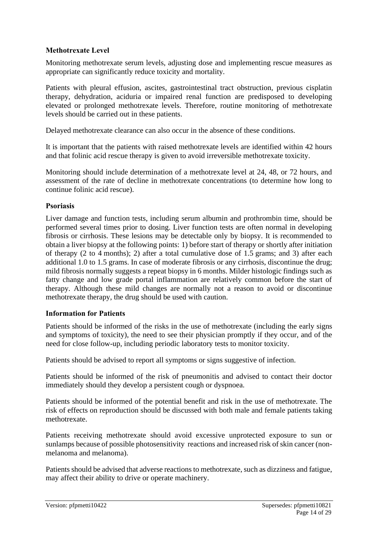## **Methotrexate Level**

Monitoring methotrexate serum levels, adjusting dose and implementing rescue measures as appropriate can significantly reduce toxicity and mortality.

Patients with pleural effusion, ascites, gastrointestinal tract obstruction, previous cisplatin therapy, dehydration, aciduria or impaired renal function are predisposed to developing elevated or prolonged methotrexate levels. Therefore, routine monitoring of methotrexate levels should be carried out in these patients.

Delayed methotrexate clearance can also occur in the absence of these conditions.

It is important that the patients with raised methotrexate levels are identified within 42 hours and that folinic acid rescue therapy is given to avoid irreversible methotrexate toxicity.

Monitoring should include determination of a methotrexate level at 24, 48, or 72 hours, and assessment of the rate of decline in methotrexate concentrations (to determine how long to continue folinic acid rescue).

## **Psoriasis**

Liver damage and function tests, including serum albumin and prothrombin time, should be performed several times prior to dosing. Liver function tests are often normal in developing fibrosis or cirrhosis. These lesions may be detectable only by biopsy. It is recommended to obtain a liver biopsy at the following points: 1) before start of therapy or shortly after initiation of therapy (2 to 4 months); 2) after a total cumulative dose of 1.5 grams; and 3) after each additional 1.0 to 1.5 grams. In case of moderate fibrosis or any cirrhosis, discontinue the drug; mild fibrosis normally suggests a repeat biopsy in 6 months. Milder histologic findings such as fatty change and low grade portal inflammation are relatively common before the start of therapy. Although these mild changes are normally not a reason to avoid or discontinue methotrexate therapy, the drug should be used with caution.

## **Information for Patients**

Patients should be informed of the risks in the use of methotrexate (including the early signs and symptoms of toxicity), the need to see their physician promptly if they occur, and of the need for close follow-up, including periodic laboratory tests to monitor toxicity.

Patients should be advised to report all symptoms or signs suggestive of infection.

Patients should be informed of the risk of pneumonitis and advised to contact their doctor immediately should they develop a persistent cough or dyspnoea.

Patients should be informed of the potential benefit and risk in the use of methotrexate. The risk of effects on reproduction should be discussed with both male and female patients taking methotrexate.

Patients receiving methotrexate should avoid excessive unprotected exposure to sun or sunlamps because of possible photosensitivity reactions and increased risk of skin cancer (nonmelanoma and melanoma).

Patients should be advised that adverse reactions to methotrexate, such as dizziness and fatigue, may affect their ability to drive or operate machinery.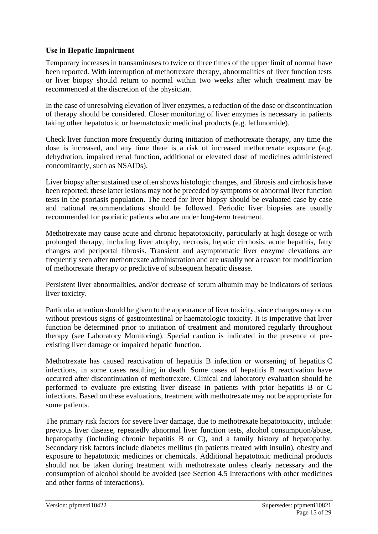### **Use in Hepatic Impairment**

Temporary increases in transaminases to twice or three times of the upper limit of normal have been reported. With interruption of methotrexate therapy, abnormalities of liver function tests or liver biopsy should return to normal within two weeks after which treatment may be recommenced at the discretion of the physician.

In the case of unresolving elevation of liver enzymes, a reduction of the dose or discontinuation of therapy should be considered. Closer monitoring of liver enzymes is necessary in patients taking other hepatotoxic or haematotoxic medicinal products (e.g. leflunomide).

Check liver function more frequently during initiation of methotrexate therapy, any time the dose is increased, and any time there is a risk of increased methotrexate exposure (e.g. dehydration, impaired renal function, additional or elevated dose of medicines administered concomitantly, such as NSAIDs).

Liver biopsy after sustained use often shows histologic changes, and fibrosis and cirrhosis have been reported; these latter lesions may not be preceded by symptoms or abnormal liver function tests in the psoriasis population. The need for liver biopsy should be evaluated case by case and national recommendations should be followed. Periodic liver biopsies are usually recommended for psoriatic patients who are under long-term treatment.

Methotrexate may cause acute and chronic hepatotoxicity, particularly at high dosage or with prolonged therapy, including liver atrophy, necrosis, hepatic cirrhosis, acute hepatitis, fatty changes and periportal fibrosis. Transient and asymptomatic liver enzyme elevations are frequently seen after methotrexate administration and are usually not a reason for modification of methotrexate therapy or predictive of subsequent hepatic disease.

Persistent liver abnormalities, and/or decrease of serum albumin may be indicators of serious liver toxicity.

Particular attention should be given to the appearance of liver toxicity, since changes may occur without previous signs of gastrointestinal or haematologic toxicity. It is imperative that liver function be determined prior to initiation of treatment and monitored regularly throughout therapy (see Laboratory Monitoring). Special caution is indicated in the presence of preexisting liver damage or impaired hepatic function.

Methotrexate has caused reactivation of hepatitis B infection or worsening of hepatitis C infections, in some cases resulting in death. Some cases of hepatitis B reactivation have occurred after discontinuation of methotrexate. Clinical and laboratory evaluation should be performed to evaluate pre-existing liver disease in patients with prior hepatitis B or C infections. Based on these evaluations, treatment with methotrexate may not be appropriate for some patients.

The primary risk factors for severe liver damage, due to methotrexate hepatotoxicity, include: previous liver disease, repeatedly abnormal liver function tests, alcohol consumption/abuse, hepatopathy (including chronic hepatitis B or C), and a family history of hepatopathy. Secondary risk factors include diabetes mellitus (in patients treated with insulin), obesity and exposure to hepatotoxic medicines or chemicals. Additional hepatotoxic medicinal products should not be taken during treatment with methotrexate unless clearly necessary and the consumption of alcohol should be avoided (see Section 4.5 Interactions with other medicines and other forms of interactions).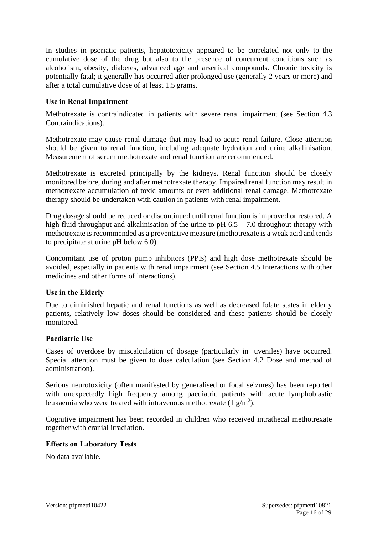In studies in psoriatic patients, hepatotoxicity appeared to be correlated not only to the cumulative dose of the drug but also to the presence of concurrent conditions such as alcoholism, obesity, diabetes, advanced age and arsenical compounds. Chronic toxicity is potentially fatal; it generally has occurred after prolonged use (generally 2 years or more) and after a total cumulative dose of at least 1.5 grams.

### **Use in Renal Impairment**

Methotrexate is contraindicated in patients with severe renal impairment (see Section 4.3 Contraindications).

Methotrexate may cause renal damage that may lead to acute renal failure. Close attention should be given to renal function, including adequate hydration and urine alkalinisation. Measurement of serum methotrexate and renal function are recommended.

Methotrexate is excreted principally by the kidneys. Renal function should be closely monitored before, during and after methotrexate therapy. Impaired renal function may result in methotrexate accumulation of toxic amounts or even additional renal damage. Methotrexate therapy should be undertaken with caution in patients with renal impairment.

Drug dosage should be reduced or discontinued until renal function is improved or restored. A high fluid throughput and alkalinisation of the urine to pH  $6.5 - 7.0$  throughout therapy with methotrexate is recommended as a preventative measure (methotrexate is a weak acid and tends to precipitate at urine pH below 6.0).

Concomitant use of proton pump inhibitors (PPIs) and high dose methotrexate should be avoided, especially in patients with renal impairment (see Section 4.5 Interactions with other medicines and other forms of interactions).

#### **Use in the Elderly**

Due to diminished hepatic and renal functions as well as decreased folate states in elderly patients, relatively low doses should be considered and these patients should be closely monitored.

#### **Paediatric Use**

Cases of overdose by miscalculation of dosage (particularly in juveniles) have occurred. Special attention must be given to dose calculation (see Section 4.2 Dose and method of administration).

Serious neurotoxicity (often manifested by generalised or focal seizures) has been reported with unexpectedly high frequency among paediatric patients with acute lymphoblastic leukaemia who were treated with intravenous methotrexate  $(1 \text{ g/m}^2)$ .

Cognitive impairment has been recorded in children who received intrathecal methotrexate together with cranial irradiation.

#### **Effects on Laboratory Tests**

No data available.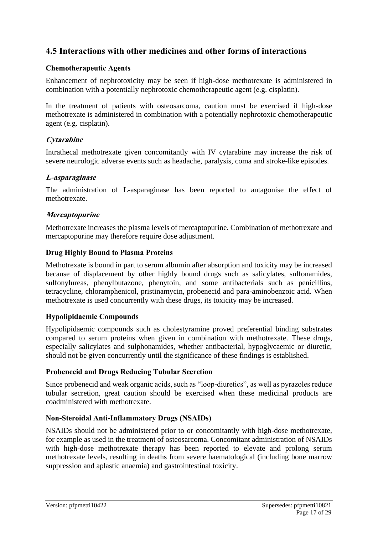## **4.5 Interactions with other medicines and other forms of interactions**

#### **Chemotherapeutic Agents**

Enhancement of nephrotoxicity may be seen if high-dose methotrexate is administered in combination with a potentially nephrotoxic chemotherapeutic agent (e.g. cisplatin).

In the treatment of patients with osteosarcoma, caution must be exercised if high-dose methotrexate is administered in combination with a potentially nephrotoxic chemotherapeutic agent (e.g. cisplatin).

## **Cytarabine**

Intrathecal methotrexate given concomitantly with IV cytarabine may increase the risk of severe neurologic adverse events such as headache, paralysis, coma and stroke-like episodes.

## **L-asparaginase**

The administration of L-asparaginase has been reported to antagonise the effect of methotrexate.

### **Mercaptopurine**

Methotrexate increases the plasma levels of mercaptopurine. Combination of methotrexate and mercaptopurine may therefore require dose adjustment.

#### **Drug Highly Bound to Plasma Proteins**

Methotrexate is bound in part to serum albumin after absorption and toxicity may be increased because of displacement by other highly bound drugs such as salicylates, sulfonamides, sulfonylureas, phenylbutazone, phenytoin, and some antibacterials such as penicillins, tetracycline, chloramphenicol, pristinamycin, probenecid and para-aminobenzoic acid. When methotrexate is used concurrently with these drugs, its toxicity may be increased.

## **Hypolipidaemic Compounds**

Hypolipidaemic compounds such as cholestyramine proved preferential binding substrates compared to serum proteins when given in combination with methotrexate. These drugs, especially salicylates and sulphonamides, whether antibacterial, hypoglycaemic or diuretic, should not be given concurrently until the significance of these findings is established.

#### **Probenecid and Drugs Reducing Tubular Secretion**

Since probenecid and weak organic acids, such as "loop-diuretics", as well as pyrazoles reduce tubular secretion, great caution should be exercised when these medicinal products are coadministered with methotrexate.

#### **Non-Steroidal Anti-Inflammatory Drugs (NSAIDs)**

NSAIDs should not be administered prior to or concomitantly with high-dose methotrexate, for example as used in the treatment of osteosarcoma. Concomitant administration of NSAIDs with high-dose methotrexate therapy has been reported to elevate and prolong serum methotrexate levels, resulting in deaths from severe haematological (including bone marrow suppression and aplastic anaemia) and gastrointestinal toxicity.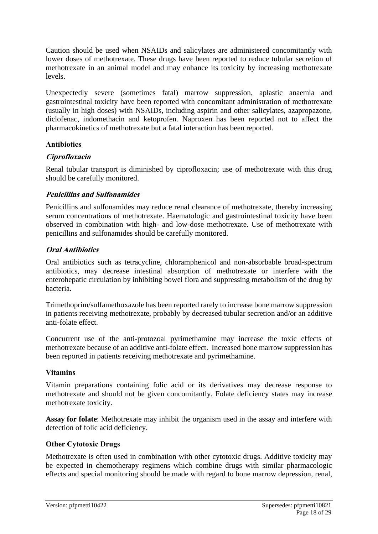Caution should be used when NSAIDs and salicylates are administered concomitantly with lower doses of methotrexate. These drugs have been reported to reduce tubular secretion of methotrexate in an animal model and may enhance its toxicity by increasing methotrexate levels.

Unexpectedly severe (sometimes fatal) marrow suppression, aplastic anaemia and gastrointestinal toxicity have been reported with concomitant administration of methotrexate (usually in high doses) with NSAIDs, including aspirin and other salicylates, azapropazone, diclofenac, indomethacin and ketoprofen. Naproxen has been reported not to affect the pharmacokinetics of methotrexate but a fatal interaction has been reported.

#### **Antibiotics**

#### **Ciprofloxacin**

Renal tubular transport is diminished by ciprofloxacin; use of methotrexate with this drug should be carefully monitored.

#### **Penicillins and Sulfonamides**

Penicillins and sulfonamides may reduce renal clearance of methotrexate, thereby increasing serum concentrations of methotrexate. Haematologic and gastrointestinal toxicity have been observed in combination with high- and low-dose methotrexate. Use of methotrexate with penicillins and sulfonamides should be carefully monitored.

#### **Oral Antibiotics**

Oral antibiotics such as tetracycline, chloramphenicol and non-absorbable broad-spectrum antibiotics, may decrease intestinal absorption of methotrexate or interfere with the enterohepatic circulation by inhibiting bowel flora and suppressing metabolism of the drug by bacteria.

Trimethoprim/sulfamethoxazole has been reported rarely to increase bone marrow suppression in patients receiving methotrexate, probably by decreased tubular secretion and/or an additive anti-folate effect.

Concurrent use of the anti-protozoal pyrimethamine may increase the toxic effects of methotrexate because of an additive anti-folate effect. Increased bone marrow suppression has been reported in patients receiving methotrexate and pyrimethamine.

#### **Vitamins**

Vitamin preparations containing folic acid or its derivatives may decrease response to methotrexate and should not be given concomitantly. Folate deficiency states may increase methotrexate toxicity.

**Assay for folate**: Methotrexate may inhibit the organism used in the assay and interfere with detection of folic acid deficiency.

#### **Other Cytotoxic Drugs**

Methotrexate is often used in combination with other cytotoxic drugs. Additive toxicity may be expected in chemotherapy regimens which combine drugs with similar pharmacologic effects and special monitoring should be made with regard to bone marrow depression, renal,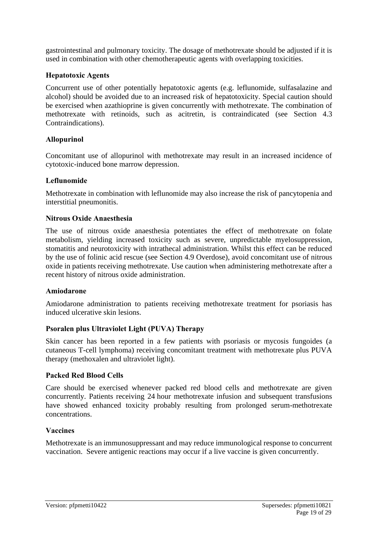gastrointestinal and pulmonary toxicity. The dosage of methotrexate should be adjusted if it is used in combination with other chemotherapeutic agents with overlapping toxicities.

#### **Hepatotoxic Agents**

Concurrent use of other potentially hepatotoxic agents (e.g. leflunomide, sulfasalazine and alcohol) should be avoided due to an increased risk of hepatotoxicity. Special caution should be exercised when azathioprine is given concurrently with methotrexate. The combination of methotrexate with retinoids, such as acitretin, is contraindicated (see Section 4.3 Contraindications).

#### **Allopurinol**

Concomitant use of allopurinol with methotrexate may result in an increased incidence of cytotoxic-induced bone marrow depression.

#### **Leflunomide**

Methotrexate in combination with leflunomide may also increase the risk of pancytopenia and interstitial pneumonitis.

#### **Nitrous Oxide Anaesthesia**

The use of nitrous oxide anaesthesia potentiates the effect of methotrexate on folate metabolism, yielding increased toxicity such as severe, unpredictable myelosuppression, stomatitis and neurotoxicity with intrathecal administration. Whilst this effect can be reduced by the use of folinic acid rescue (see Section 4.9 Overdose), avoid concomitant use of nitrous oxide in patients receiving methotrexate. Use caution when administering methotrexate after a recent history of nitrous oxide administration.

#### **Amiodarone**

Amiodarone administration to patients receiving methotrexate treatment for psoriasis has induced ulcerative skin lesions.

#### **Psoralen plus Ultraviolet Light (PUVA) Therapy**

Skin cancer has been reported in a few patients with psoriasis or mycosis fungoides (a cutaneous T-cell lymphoma) receiving concomitant treatment with methotrexate plus PUVA therapy (methoxalen and ultraviolet light).

#### **Packed Red Blood Cells**

Care should be exercised whenever packed red blood cells and methotrexate are given concurrently. Patients receiving 24 hour methotrexate infusion and subsequent transfusions have showed enhanced toxicity probably resulting from prolonged serum-methotrexate concentrations.

#### **Vaccines**

Methotrexate is an immunosuppressant and may reduce immunological response to concurrent vaccination. Severe antigenic reactions may occur if a live vaccine is given concurrently.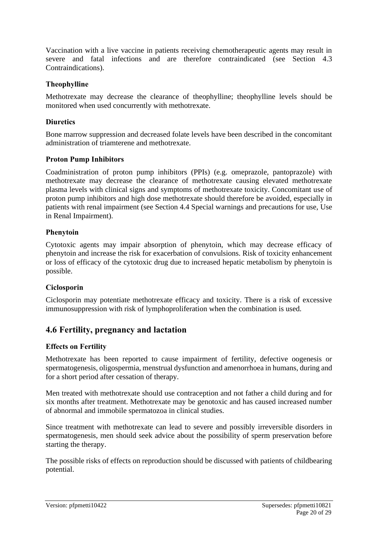Vaccination with a live vaccine in patients receiving chemotherapeutic agents may result in severe and fatal infections and are therefore contraindicated (see Section 4.3 Contraindications).

#### **Theophylline**

Methotrexate may decrease the clearance of theophylline; theophylline levels should be monitored when used concurrently with methotrexate.

#### **Diuretics**

Bone marrow suppression and decreased folate levels have been described in the concomitant administration of triamterene and methotrexate.

### **Proton Pump Inhibitors**

Coadministration of proton pump inhibitors (PPIs) (e.g. omeprazole, pantoprazole) with methotrexate may decrease the clearance of methotrexate causing elevated methotrexate plasma levels with clinical signs and symptoms of methotrexate toxicity. Concomitant use of proton pump inhibitors and high dose methotrexate should therefore be avoided, especially in patients with renal impairment (see Section 4.4 Special warnings and precautions for use, Use in Renal Impairment).

#### **Phenytoin**

Cytotoxic agents may impair absorption of phenytoin, which may decrease efficacy of phenytoin and increase the risk for exacerbation of convulsions. Risk of toxicity enhancement or loss of efficacy of the cytotoxic drug due to increased hepatic metabolism by phenytoin is possible.

## **Ciclosporin**

Ciclosporin may potentiate methotrexate efficacy and toxicity. There is a risk of excessive immunosuppression with risk of lymphoproliferation when the combination is used.

## **4.6 Fertility, pregnancy and lactation**

## **Effects on Fertility**

Methotrexate has been reported to cause impairment of fertility, defective oogenesis or spermatogenesis, oligospermia, menstrual dysfunction and amenorrhoea in humans, during and for a short period after cessation of therapy.

Men treated with methotrexate should use contraception and not father a child during and for six months after treatment. Methotrexate may be genotoxic and has caused increased number of abnormal and immobile spermatozoa in clinical studies.

Since treatment with methotrexate can lead to severe and possibly irreversible disorders in spermatogenesis, men should seek advice about the possibility of sperm preservation before starting the therapy.

The possible risks of effects on reproduction should be discussed with patients of childbearing potential.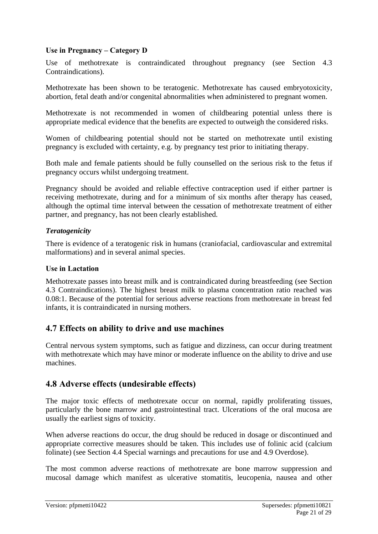### **Use in Pregnancy – Category D**

Use of methotrexate is contraindicated throughout pregnancy (see Section 4.3 Contraindications).

Methotrexate has been shown to be teratogenic. Methotrexate has caused embryotoxicity, abortion, fetal death and/or congenital abnormalities when administered to pregnant women.

Methotrexate is not recommended in women of childbearing potential unless there is appropriate medical evidence that the benefits are expected to outweigh the considered risks.

Women of childbearing potential should not be started on methotrexate until existing pregnancy is excluded with certainty, e.g. by pregnancy test prior to initiating therapy.

Both male and female patients should be fully counselled on the serious risk to the fetus if pregnancy occurs whilst undergoing treatment.

Pregnancy should be avoided and reliable effective contraception used if either partner is receiving methotrexate, during and for a minimum of six months after therapy has ceased, although the optimal time interval between the cessation of methotrexate treatment of either partner, and pregnancy, has not been clearly established.

### *Teratogenicity*

There is evidence of a teratogenic risk in humans (craniofacial, cardiovascular and extremital malformations) and in several animal species.

#### **Use in Lactation**

Methotrexate passes into breast milk and is contraindicated during breastfeeding (see Section 4.3 Contraindications). The highest breast milk to plasma concentration ratio reached was 0.08:1. Because of the potential for serious adverse reactions from methotrexate in breast fed infants, it is contraindicated in nursing mothers.

## **4.7 Effects on ability to drive and use machines**

Central nervous system symptoms, such as fatigue and dizziness, can occur during treatment with methotrexate which may have minor or moderate influence on the ability to drive and use machines.

## **4.8 Adverse effects (undesirable effects)**

The major toxic effects of methotrexate occur on normal, rapidly proliferating tissues, particularly the bone marrow and gastrointestinal tract. Ulcerations of the oral mucosa are usually the earliest signs of toxicity.

When adverse reactions do occur, the drug should be reduced in dosage or discontinued and appropriate corrective measures should be taken. This includes use of folinic acid (calcium folinate) (see Section 4.4 Special warnings and precautions for use and 4.9 Overdose).

The most common adverse reactions of methotrexate are bone marrow suppression and mucosal damage which manifest as ulcerative stomatitis, leucopenia, nausea and other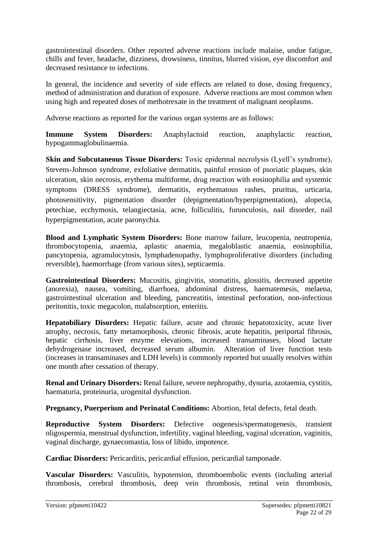gastrointestinal disorders. Other reported adverse reactions include malaise, undue fatigue, chills and fever, headache, dizziness, drowsiness, tinnitus, blurred vision, eye discomfort and decreased resistance to infections.

In general, the incidence and severity of side effects are related to dose, dosing frequency, method of administration and duration of exposure. Adverse reactions are most common when using high and repeated doses of methotrexate in the treatment of malignant neoplasms.

Adverse reactions as reported for the various organ systems are as follows:

**Immune System Disorders:** Anaphylactoid reaction, anaphylactic reaction, hypogammaglobulinaemia.

**Skin and Subcutaneous Tissue Disorders:** Toxic epidermal necrolysis (Lyell's syndrome), Stevens-Johnson syndrome, exfoliative dermatitis, painful erosion of psoriatic plaques, skin ulceration, skin necrosis, erythema multiforme, drug reaction with eosinophilia and systemic symptoms (DRESS syndrome), dermatitis, erythematous rashes, pruritus, urticaria, photosensitivity, pigmentation disorder (depigmentation/hyperpigmentation), alopecia, petechiae, ecchymosis, telangiectasia, acne, folliculitis, furunculosis, nail disorder, nail hyperpigmentation, acute paronychia.

**Blood and Lymphatic System Disorders:** Bone marrow failure, leucopenia, neutropenia, thrombocytopenia, anaemia, aplastic anaemia, megaloblastic anaemia, eosinophilia, pancytopenia, agranulocytosis, lymphadenopathy, lymphoproliferative disorders (including reversible), haemorrhage (from various sites), septicaemia.

Gastrointestinal Disorders: Mucositis, gingivitis, stomatitis, glossitis, decreased appetite (anorexia), nausea, vomiting, diarrhoea, abdominal distress, haematemesis, melaena, gastrointestinal ulceration and bleeding, pancreatitis, intestinal perforation, non-infectious peritonitis, toxic megacolon, malabsorption, enteritis.

**Hepatobiliary Disorders:** Hepatic failure, acute and chronic hepatotoxicity, acute liver atrophy, necrosis, fatty metamorphosis, chronic fibrosis, acute hepatitis, periportal fibrosis, hepatic cirrhosis, liver enzyme elevations, increased transaminases, blood lactate dehydrogenase increased, decreased serum albumin. Alteration of liver function tests (increases in transaminases and LDH levels) is commonly reported but usually resolves within one month after cessation of therapy.

**Renal and Urinary Disorders:** Renal failure, severe nephropathy, dysuria, azotaemia, cystitis, haematuria, proteinuria, urogenital dysfunction.

**Pregnancy, Puerperium and Perinatal Conditions:** Abortion, fetal defects, fetal death.

**Reproductive System Disorders:** Defective oogenesis/spermatogenesis, transient oligospermia, menstrual dysfunction, infertility, vaginal bleeding, vaginal ulceration, vaginitis, vaginal discharge, gynaecomastia, loss of libido, impotence.

**Cardiac Disorders:** Pericarditis, pericardial effusion, pericardial tamponade.

**Vascular Disorders:** Vasculitis, hypotension, thromboembolic events (including arterial thrombosis, cerebral thrombosis, deep vein thrombosis, retinal vein thrombosis,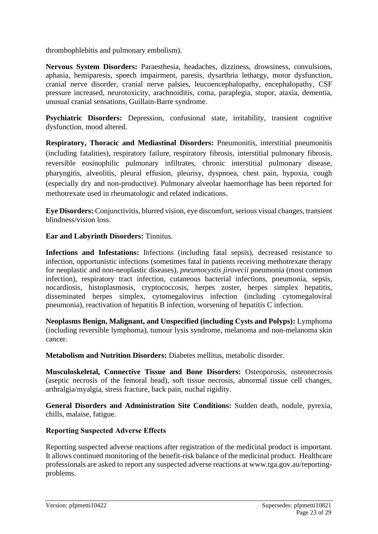thrombophlebitis and pulmonary embolism).

**Nervous System Disorders:** Paraesthesia, headaches, dizziness, drowsiness, convulsions, aphasia, hemiparesis, speech impairment, paresis, dysarthria lethargy, motor dysfunction, cranial nerve disorder, cranial nerve palsies, leucoencephalopathy, encephalopathy, CSF pressure increased, neurotoxicity, arachnoiditis, coma, paraplegia, stupor, ataxia, dementia, unusual cranial sensations, Guillain-Barre syndrome.

**Psychiatric Disorders:** Depression, confusional state, irritability, transient cognitive dysfunction, mood altered.

**Respiratory, Thoracic and Mediastinal Disorders:** Pneumonitis, interstitial pneumonitis (including fatalities), respiratory failure, respiratory fibrosis, interstitial pulmonary fibrosis, reversible eosinophilic pulmonary infiltrates, chronic interstitial pulmonary disease, pharyngitis, alveolitis, pleural effusion, pleurisy, dyspnoea, chest pain, hypoxia, cough (especially dry and non-productive). Pulmonary alveolar haemorrhage has been reported for methotrexate used in rheumatologic and related indications.

**Eye Disorders:** Conjunctivitis, blurred vision, eye discomfort, serious visual changes, transient blindness/vision loss.

**Ear and Labyrinth Disorders:** Tinnitus.

**Infections and Infestations:** Infections (including fatal sepsis), decreased resistance to infection, opportunistic infections (sometimes fatal in patients receiving methotrexate therapy for neoplastic and non-neoplastic diseases), *pneumocystis jirovecii* pneumonia (most common infection), respiratory tract infection, cutaneous bacterial infections, pneumonia, sepsis, nocardiosis, histoplasmosis, cryptococcosis, herpes zoster, herpes simplex hepatitis, disseminated herpes simplex, cytomegalovirus infection (including cytomegaloviral pneumonia), reactivation of hepatitis B infection, worsening of hepatitis C infection.

**Neoplasms Benign, Malignant, and Unspecified (including Cysts and Polyps):** Lymphoma (including reversible lymphoma), tumour lysis syndrome, melanoma and non-melanoma skin cancer.

**Metabolism and Nutrition Disorders:** Diabetes mellitus, metabolic disorder.

**Musculoskeletal, Connective Tissue and Bone Disorders:** Osteoporosis, osteonecrosis (aseptic necrosis of the femoral head), soft tissue necrosis, abnormal tissue cell changes, arthralgia/myalgia, stress fracture, back pain, nuchal rigidity.

**General Disorders and Administration Site Conditions:** Sudden death, nodule, pyrexia, chills, malaise, fatigue.

## **Reporting Suspected Adverse Effects**

Reporting suspected adverse reactions after registration of the medicinal product is important. It allows continued monitoring of the benefit-risk balance of the medicinal product. Healthcare professionals are asked to report any suspected adverse reactions at [www.tga.gov.au/reporting](http://www.tga.gov.au/reporting-problems)[problems.](http://www.tga.gov.au/reporting-problems)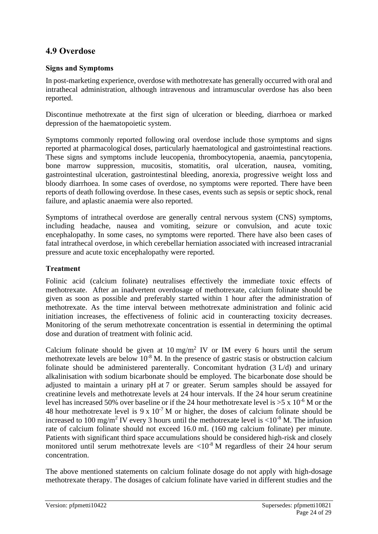## **4.9 Overdose**

## **Signs and Symptoms**

In post-marketing experience, overdose with methotrexate has generally occurred with oral and intrathecal administration, although intravenous and intramuscular overdose has also been reported.

Discontinue methotrexate at the first sign of ulceration or bleeding, diarrhoea or marked depression of the haematopoietic system.

Symptoms commonly reported following oral overdose include those symptoms and signs reported at pharmacological doses, particularly haematological and gastrointestinal reactions. These signs and symptoms include leucopenia, thrombocytopenia, anaemia, pancytopenia, bone marrow suppression, mucositis, stomatitis, oral ulceration, nausea, vomiting, gastrointestinal ulceration, gastrointestinal bleeding, anorexia, progressive weight loss and bloody diarrhoea. In some cases of overdose, no symptoms were reported. There have been reports of death following overdose. In these cases, events such as sepsis or septic shock, renal failure, and aplastic anaemia were also reported.

Symptoms of intrathecal overdose are generally central nervous system (CNS) symptoms, including headache, nausea and vomiting, seizure or convulsion, and acute toxic encephalopathy. In some cases, no symptoms were reported. There have also been cases of fatal intrathecal overdose, in which cerebellar herniation associated with increased intracranial pressure and acute toxic encephalopathy were reported.

## **Treatment**

Folinic acid (calcium folinate) neutralises effectively the immediate toxic effects of methotrexate. After an inadvertent overdosage of methotrexate, calcium folinate should be given as soon as possible and preferably started within 1 hour after the administration of methotrexate. As the time interval between methotrexate administration and folinic acid initiation increases, the effectiveness of folinic acid in counteracting toxicity decreases. Monitoring of the serum methotrexate concentration is essential in determining the optimal dose and duration of treatment with folinic acid.

Calcium folinate should be given at  $10 \text{ mg/m}^2$  IV or IM every 6 hours until the serum methotrexate levels are below  $10^{-8}$  M. In the presence of gastric stasis or obstruction calcium folinate should be administered parenterally. Concomitant hydration (3 L/d) and urinary alkalinisation with sodium bicarbonate should be employed. The bicarbonate dose should be adjusted to maintain a urinary pH at 7 or greater. Serum samples should be assayed for creatinine levels and methotrexate levels at 24 hour intervals. If the 24 hour serum creatinine level has increased 50% over baseline or if the 24 hour methotrexate level is  $>5 \times 10^{-6}$  M or the 48 hour methotrexate level is 9 x  $10^{-7}$  M or higher, the doses of calcium folinate should be increased to 100 mg/m<sup>2</sup> IV every 3 hours until the methotrexate level is  $\langle 10^{-8}$  M. The infusion rate of calcium folinate should not exceed 16.0 mL (160 mg calcium folinate) per minute. Patients with significant third space accumulations should be considered high-risk and closely monitored until serum methotrexate levels are  $\langle 10^{-8} \text{ M} \rangle$  regardless of their 24 hour serum concentration.

The above mentioned statements on calcium folinate dosage do not apply with high-dosage methotrexate therapy. The dosages of calcium folinate have varied in different studies and the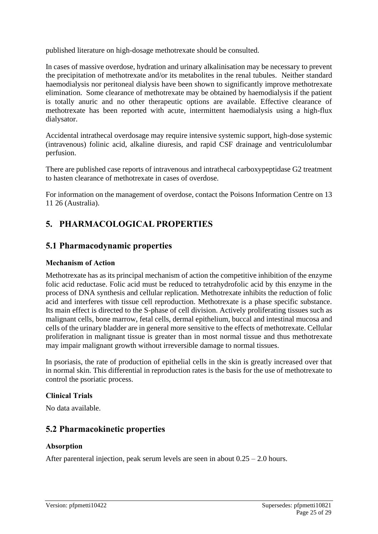published literature on high-dosage methotrexate should be consulted.

In cases of massive overdose, hydration and urinary alkalinisation may be necessary to prevent the precipitation of methotrexate and/or its metabolites in the renal tubules. Neither standard haemodialysis nor peritoneal dialysis have been shown to significantly improve methotrexate elimination. Some clearance of methotrexate may be obtained by haemodialysis if the patient is totally anuric and no other therapeutic options are available. Effective clearance of methotrexate has been reported with acute, intermittent haemodialysis using a high-flux dialysator.

Accidental intrathecal overdosage may require intensive systemic support, high-dose systemic (intravenous) folinic acid, alkaline diuresis, and rapid CSF drainage and ventriculolumbar perfusion.

There are published case reports of intravenous and intrathecal carboxypeptidase G2 treatment to hasten clearance of methotrexate in cases of overdose.

For information on the management of overdose, contact the Poisons Information Centre on 13 11 26 (Australia).

## **5. PHARMACOLOGICAL PROPERTIES**

## **5.1 Pharmacodynamic properties**

## **Mechanism of Action**

Methotrexate has as its principal mechanism of action the competitive inhibition of the enzyme folic acid reductase. Folic acid must be reduced to tetrahydrofolic acid by this enzyme in the process of DNA synthesis and cellular replication. Methotrexate inhibits the reduction of folic acid and interferes with tissue cell reproduction. Methotrexate is a phase specific substance. Its main effect is directed to the S-phase of cell division. Actively proliferating tissues such as malignant cells, bone marrow, fetal cells, dermal epithelium, buccal and intestinal mucosa and cells of the urinary bladder are in general more sensitive to the effects of methotrexate. Cellular proliferation in malignant tissue is greater than in most normal tissue and thus methotrexate may impair malignant growth without irreversible damage to normal tissues.

In psoriasis, the rate of production of epithelial cells in the skin is greatly increased over that in normal skin. This differential in reproduction rates is the basis for the use of methotrexate to control the psoriatic process.

## **Clinical Trials**

No data available.

## **5.2 Pharmacokinetic properties**

## **Absorption**

After parenteral injection, peak serum levels are seen in about  $0.25 - 2.0$  hours.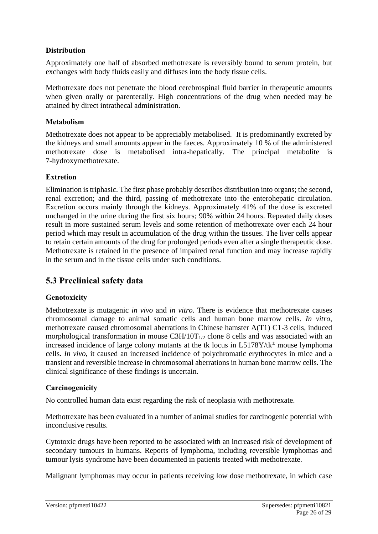### **Distribution**

Approximately one half of absorbed methotrexate is reversibly bound to serum protein, but exchanges with body fluids easily and diffuses into the body tissue cells.

Methotrexate does not penetrate the blood cerebrospinal fluid barrier in therapeutic amounts when given orally or parenterally. High concentrations of the drug when needed may be attained by direct intrathecal administration.

#### **Metabolism**

Methotrexate does not appear to be appreciably metabolised. It is predominantly excreted by the kidneys and small amounts appear in the faeces. Approximately 10 % of the administered methotrexate dose is metabolised intra-hepatically. The principal metabolite is 7-hydroxymethotrexate.

### **Extretion**

Elimination is triphasic. The first phase probably describes distribution into organs; the second, renal excretion; and the third, passing of methotrexate into the enterohepatic circulation. Excretion occurs mainly through the kidneys. Approximately 41% of the dose is excreted unchanged in the urine during the first six hours; 90% within 24 hours. Repeated daily doses result in more sustained serum levels and some retention of methotrexate over each 24 hour period which may result in accumulation of the drug within the tissues. The liver cells appear to retain certain amounts of the drug for prolonged periods even after a single therapeutic dose. Methotrexate is retained in the presence of impaired renal function and may increase rapidly in the serum and in the tissue cells under such conditions.

## **5.3 Preclinical safety data**

#### **Genotoxicity**

Methotrexate is mutagenic *in vivo* and *in vitro*. There is evidence that methotrexate causes chromosomal damage to animal somatic cells and human bone marrow cells. *In vitro*, methotrexate caused chromosomal aberrations in Chinese hamster A(T1) C1-3 cells, induced morphological transformation in mouse  $C3H/10T_{1/2}$  clone 8 cells and was associated with an increased incidence of large colony mutants at the tk locus in  $L5178Y/tk^{\pm}$  mouse lymphoma cells. *In vivo*, it caused an increased incidence of polychromatic erythrocytes in mice and a transient and reversible increase in chromosomal aberrations in human bone marrow cells. The clinical significance of these findings is uncertain.

#### **Carcinogenicity**

No controlled human data exist regarding the risk of neoplasia with methotrexate.

Methotrexate has been evaluated in a number of animal studies for carcinogenic potential with inconclusive results.

Cytotoxic drugs have been reported to be associated with an increased risk of development of secondary tumours in humans. Reports of lymphoma, including reversible lymphomas and tumour lysis syndrome have been documented in patients treated with methotrexate.

Malignant lymphomas may occur in patients receiving low dose methotrexate, in which case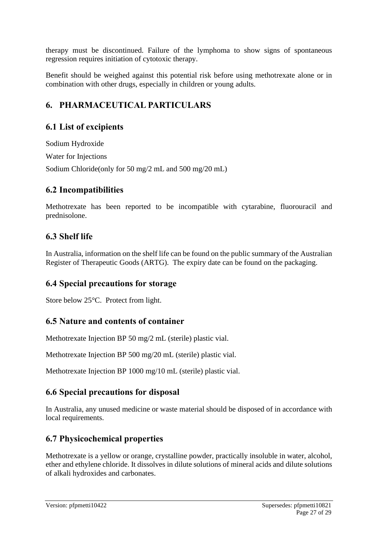therapy must be discontinued. Failure of the lymphoma to show signs of spontaneous regression requires initiation of cytotoxic therapy.

Benefit should be weighed against this potential risk before using methotrexate alone or in combination with other drugs, especially in children or young adults.

## **6. PHARMACEUTICAL PARTICULARS**

## **6.1 List of excipients**

Sodium Hydroxide Water for Injections Sodium Chloride(only for 50 mg/2 mL and 500 mg/20 mL)

## **6.2 Incompatibilities**

Methotrexate has been reported to be incompatible with cytarabine, fluorouracil and prednisolone.

## **6.3 Shelf life**

In Australia, information on the shelf life can be found on the public summary of the Australian Register of Therapeutic Goods (ARTG). The expiry date can be found on the packaging.

## **6.4 Special precautions for storage**

Store below 25°C. Protect from light.

## **6.5 Nature and contents of container**

Methotrexate Injection BP 50 mg/2 mL (sterile) plastic vial.

Methotrexate Injection BP 500 mg/20 mL (sterile) plastic vial.

Methotrexate Injection BP 1000 mg/10 mL (sterile) plastic vial.

## **6.6 Special precautions for disposal**

In Australia, any unused medicine or waste material should be disposed of in accordance with local requirements.

## **6.7 Physicochemical properties**

Methotrexate is a yellow or orange, crystalline powder, practically insoluble in water, alcohol, ether and ethylene chloride. It dissolves in dilute solutions of mineral acids and dilute solutions of alkali hydroxides and carbonates.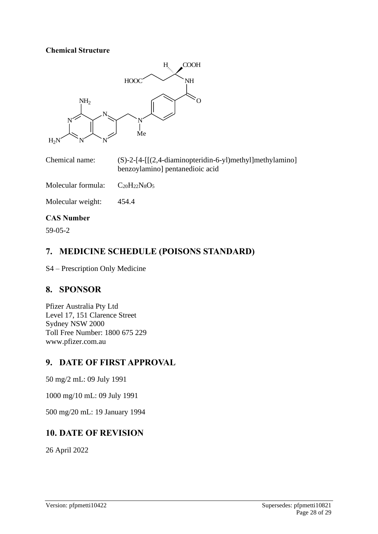#### **Chemical Structure**



| Chemical name: | $(S)-2-[4-[[(2,4-diaminopteridin-6-y])methyl]methylamino]$ |
|----------------|------------------------------------------------------------|
|                | benzoylamino] pentanedioic acid                            |

Molecular formula:  $C_{20}H_{22}N_8O_5$ 

Molecular weight: 454.4

#### **CAS Number**

59-05-2

## **7. MEDICINE SCHEDULE (POISONS STANDARD)**

S4 – Prescription Only Medicine

## **8. SPONSOR**

Pfizer Australia Pty Ltd Level 17, 151 Clarence Street Sydney NSW 2000 Toll Free Number: 1800 675 229 [www.pfizer.com.au](http://www.pfizer.com.au/)

## **9. DATE OF FIRST APPROVAL**

50 mg/2 mL: 09 July 1991

1000 mg/10 mL: 09 July 1991

500 mg/20 mL: 19 January 1994

## **10. DATE OF REVISION**

26 April 2022